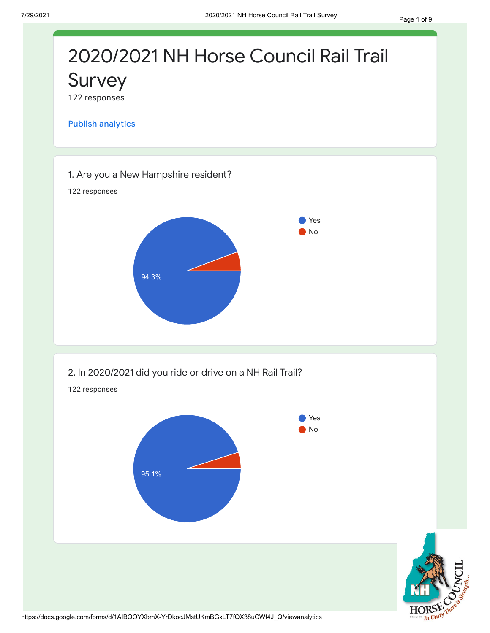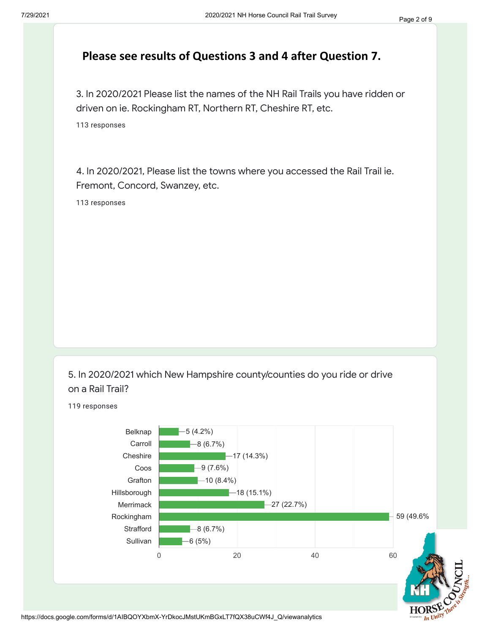## **Please see results of Questions 3 and 4 after Question 7.**

3. In 2020/2021 Please list the names of the NH Rail Trails you have ridden or driven on ie. Rockingham RT, Northern RT, Cheshire RT, etc.

113 responses

4. In 2020/2021, Please list the towns where you accessed the Rail Trail ie. Fremont, Concord, Swanzey, etc.

113 responses

5. In 2020/2021 which New Hampshire county/counties do you ride or drive on a Rail Trail?

119 responses

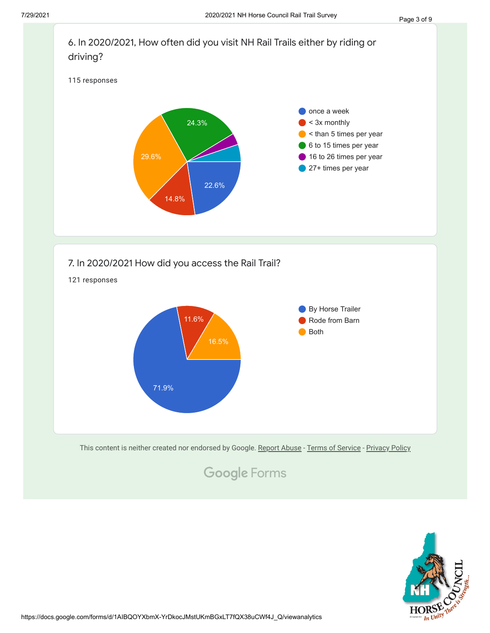

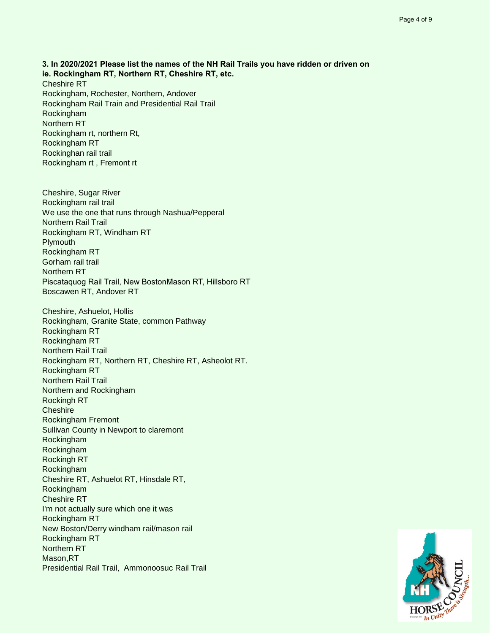**3. In 2020/2021 Please list the names of the NH Rail Trails you have ridden or driven on ie. Rockingham RT, Northern RT, Cheshire RT, etc.** Cheshire RT Rockingham, Rochester, Northern, Andover Rockingham Rail Train and Presidential Rail Trail Rockingham Northern RT Rockingham rt, northern Rt, Rockingham RT Rockinghan rail trail Rockingham rt , Fremont rt

Cheshire, Sugar River Rockingham rail trail We use the one that runs through Nashua/Pepperal Northern Rail Trail Rockingham RT, Windham RT **Plymouth** Rockingham RT Gorham rail trail Northern RT Piscataquog Rail Trail, New Boston Mason RT, Hillsboro RT Boscawen RT, Andover RT

Cheshire, Ashuelot, Hollis Rockingham, Granite State, common Pathway Rockingham RT Rockingham RT Northern Rail Trail Rockingham RT, Northern RT, Cheshire RT, Asheolot RT. Rockingham RT Northern Rail Trail Northern and Rockingham Rockingh RT **Cheshire** Rockingham Fremont Sullivan County in Newport to claremont Rockingham Rockingham Rockingh RT Rockingham Cheshire RT, Ashuelot RT, Hinsdale RT, Rockingham Cheshire RT I'm not actually sure which one it was Rockingham RT New Boston/Derry windham rail/mason rail Rockingham RT Northern RT Mason,RT Presidential Rail Trail, Ammonoosuc Rail Trail

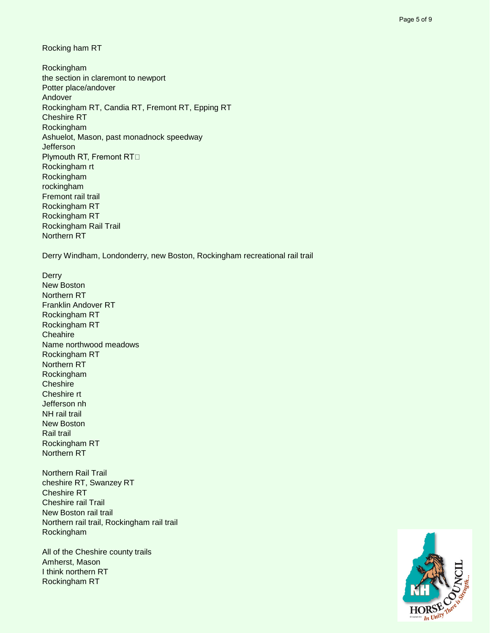Rocking ham RT

Rockingham the section in claremont to newport Potter place/andover Andover Rockingham RT, Candia RT, Fremont RT, Epping RT Cheshire RT Rockingham Ashuelot, Mason, past monadnock speedway **Jefferson** Plymouth RT, Fremont RT⊡ Rockingham rt Rockingham rockingham Fremont rail trail Rockingham RT Rockingham RT Rockingham Rail Trail Northern RT

Derry Windham, Londonderry, new Boston, Rockingham recreational rail trail

**Derry** New Boston Northern RT Franklin Andover RT Rockingham RT Rockingham RT **Cheahire** Name northwood meadows Rockingham RT Northern RT Rockingham **Cheshire** Cheshire rt Jefferson nh NH rail trail New Boston Rail trail Rockingham RT Northern RT

Northern Rail Trail cheshire RT, Swanzey RT Cheshire RT Cheshire rail Trail New Boston rail trail Northern rail trail, Rockingham rail trail Rockingham

All of the Cheshire county trails Amherst, Mason I think northern RT Rockingham RT

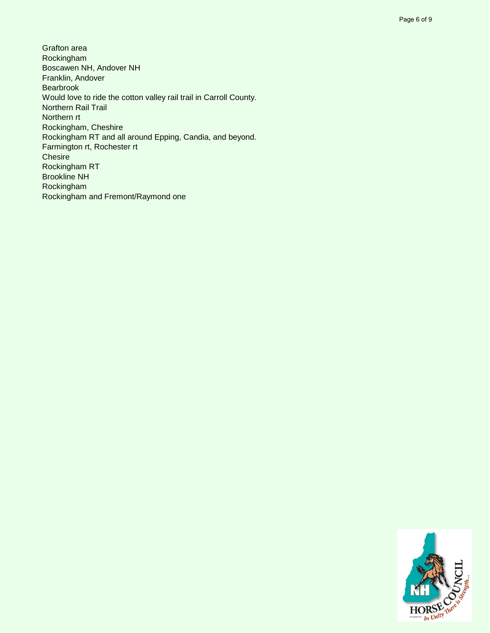Grafton area Rockingham Boscawen NH, Andover NH Franklin, Andover Bearbrook Would love to ride the cotton valley rail trail in Carroll County. Northern Rail Trail Northern rt Rockingham, Cheshire Rockingham RT and all around Epping, Candia, and beyond. Farmington rt, Rochester rt **Chesire** Rockingham RT Brookline NH Rockingham Rockingham and Fremont/Raymond one

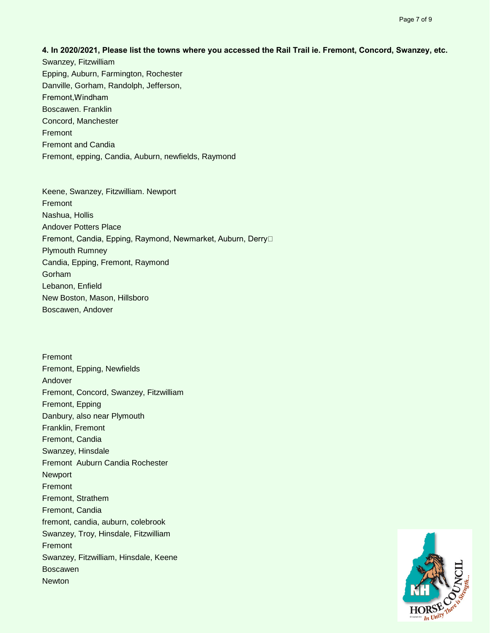**4. In 2020/2021, Please list the towns where you accessed the Rail Trail ie. Fremont, Concord, Swanzey, etc.** Swanzey, Fitzwilliam

Epping, Auburn, Farmington, Rochester Danville, Gorham, Randolph, Jefferson, Fremont, Windham Boscawen. Franklin Concord, Manchester Fremont Fremont and Candia Fremont, epping, Candia, Auburn, newfields, Raymond

Keene, Swanzey, Fitzwilliam. Newport Fremont Nashua, Hollis Andover Potters Place Fremont, Candia, Epping, Raymond, Newmarket, Auburn, Derry Plymouth Rumney Candia, Epping, Fremont, Raymond Gorham Lebanon, Enfield New Boston, Mason, Hillsboro Boscawen, Andover

Fremont Fremont, Epping, Newfields Andover Fremont, Concord, Swanzey, Fitzwilliam Fremont, Epping Danbury, also near Plymouth Franklin, Fremont Fremont, Candia Swanzey, Hinsdale Fremont Auburn Candia Rochester Newport Fremont Fremont, Strathem Fremont, Candia fremont, candia, auburn, colebrook Swanzey, Troy, Hinsdale, Fitzwilliam Fremont Swanzey, Fitzwilliam, Hinsdale, Keene Boscawen **Newton** 

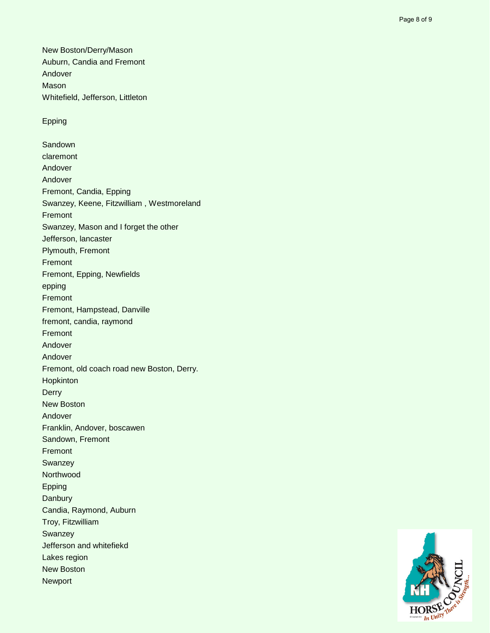New Boston/Derry/Mason Auburn, Candia and Fremont Andover Mason Whitefield, Jefferson, Littleton

## Epping

**Sandown** claremont Andover Andover Fremont, Candia, Epping Swanzey, Keene, Fitzwilliam , Westmoreland Fremont Swanzey, Mason and I forget the other Jefferson, lancaster Plymouth, Fremont Fremont Fremont, Epping, Newfields epping Fremont Fremont, Hampstead, Danville fremont, candia, raymond Fremont Andover Andover Fremont, old coach road new Boston, Derry. Hopkinton **Derry** New Boston Andover Franklin, Andover, boscawen Sandown, Fremont Fremont **Swanzey Northwood** Epping **Danbury** Candia, Raymond, Auburn Troy, Fitzwilliam **Swanzey** Jefferson and whitefiekd Lakes region New Boston Newport